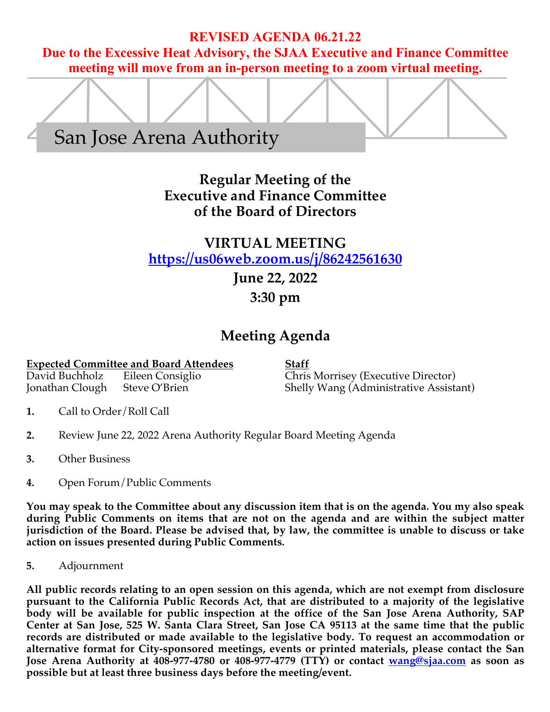## **REVISED AGENDA 06.21.22**

**Due to the Excessive Heat Advisory, the SJAA Executive and Finance Committee meeting will move from an in-person meeting to a zoom virtual meeting.** 



# **Regular Meeting of the Executive and Finance Committee of the Board of Directors**

# **VIRTUAL MEETING https://us06web.zoom.us/j/86242561630**

# **June 22, 2022**

# **3:30 pm**

# **Meeting Agenda**

**Expected Committee and Board Attendees Staff**

David Buchholz Eileen Consiglio Chris Morrisey (Executive Director) Shelly Wang (Administrative Assistant)

- **1.** Call to Order/Roll Call
- **2.** Review June 22, 2022 Arena Authority Regular Board Meeting Agenda
- **3.** Other Business
- **4.** Open Forum/Public Comments

**You may speak to the Committee about any discussion item that is on the agenda. You my also speak during Public Comments on items that are not on the agenda and are within the subject matter jurisdiction of the Board. Please be advised that, by law, the committee is unable to discuss or take action on issues presented during Public Comments.**

**5.** Adjournment

**All public records relating to an open session on this agenda, which are not exempt from disclosure pursuant to the California Public Records Act, that are distributed to a majority of the legislative body will be available for public inspection at the office of the San Jose Arena Authority, SAP Center at San Jose, 525 W. Santa Clara Street, San Jose CA 95113 at the same time that the public records are distributed or made available to the legislative body. To request an accommodation or alternative format for City-sponsored meetings, events or printed materials, please contact the San Jose Arena Authority at 408-977-4780 or 408-977-4779 (TTY) or contact wang@sjaa.com as soon as possible but at least three business days before the meeting/event.**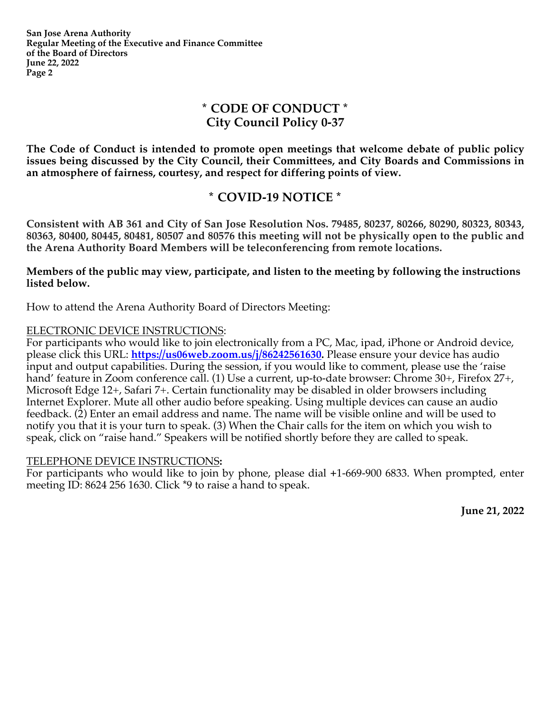**San Jose Arena Authority Regular Meeting of the Executive and Finance Committee of the Board of Directors June 22, 2022 Page 2**

## **\* CODE OF CONDUCT \* City Council Policy 0-37**

**The Code of Conduct is intended to promote open meetings that welcome debate of public policy issues being discussed by the City Council, their Committees, and City Boards and Commissions in an atmosphere of fairness, courtesy, and respect for differing points of view.**

## **\* COVID-19 NOTICE \***

**Consistent with AB 361 and City of San Jose Resolution Nos. 79485, 80237, 80266, 80290, 80323, 80343, 80363, 80400, 80445, 80481, 80507 and 80576 this meeting will not be physically open to the public and the Arena Authority Board Members will be teleconferencing from remote locations.**

**Members of the public may view, participate, and listen to the meeting by following the instructions listed below.**

How to attend the Arena Authority Board of Directors Meeting:

### ELECTRONIC DEVICE INSTRUCTIONS:

For participants who would like to join electronically from a PC, Mac, ipad, iPhone or Android device, please click this URL: **https://us06web.zoom.us/j/86242561630.** Please ensure your device has audio input and output capabilities. During the session, if you would like to comment, please use the 'raise hand' feature in Zoom conference call. (1) Use a current, up-to-date browser: Chrome 30+, Firefox 27+, Microsoft Edge 12+, Safari 7+. Certain functionality may be disabled in older browsers including Internet Explorer. Mute all other audio before speaking. Using multiple devices can cause an audio feedback. (2) Enter an email address and name. The name will be visible online and will be used to notify you that it is your turn to speak. (3) When the Chair calls for the item on which you wish to speak, click on "raise hand." Speakers will be notified shortly before they are called to speak.

### TELEPHONE DEVICE INSTRUCTIONS**:**

For participants who would like to join by phone, please dial **+**1-669-900 6833. When prompted, enter meeting ID: 8624 256 1630. Click \*9 to raise a hand to speak.

**June 21, 2022**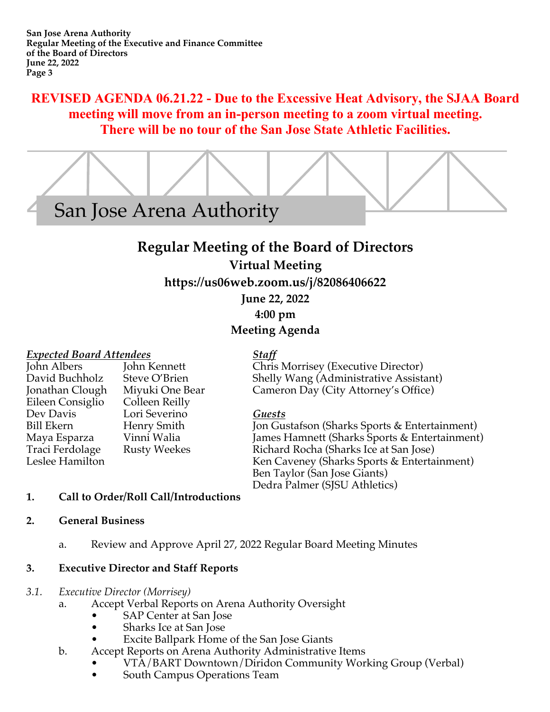## **REVISED AGENDA 06.21.22 - Due to the Excessive Heat Advisory, the SJAA Board meeting will move from an in-person meeting to a zoom virtual meeting. There will be no tour of the San Jose State Athletic Facilities.**



# **Regular Meeting of the Board of Directors**

## **Virtual Meeting**

**https://us06web.zoom.us/j/82086406622**

**June 22, 2022**

**4:00 pm**

## **Meeting Agenda**

*Expected Board Attendees Staff* Eileen Consiglio Colleen Reilly Dev Davis Lori Severino *Guests*

Chris Morrisey (Executive Director) David Buchholz Steve O'Brien Shelly Wang (Administrative Assistant) Jonathan Clough Miyuki One Bear Cameron Day (City Attorney's Office)

Jon Gustafson (Sharks Sports & Entertainment) Maya Esparza Vinni Walia James Hamnett (Sharks Sports & Entertainment) Traci Ferdolage Rusty Weekes Richard Rocha (Sharks Ice at San Jose)<br>Leslee Hamilton Ken Caveney (Sharks Sports & Enterta Ken Caveney (Sharks Sports & Entertainment) Ben Taylor (San Jose Giants) Dedra Palmer (SJSU Athletics)

## **1. Call to Order/Roll Call/Introductions**

## **2. General Business**

a. Review and Approve April 27, 2022 Regular Board Meeting Minutes

## **3. Executive Director and Staff Reports**

## *3.1. Executive Director (Morrisey)*

- a. Accept Verbal Reports on Arena Authority Oversight
	- SAP Center at San Jose
	- Sharks Ice at San Jose
	- Excite Ballpark Home of the San Jose Giants
- b. Accept Reports on Arena Authority Administrative Items
	- VTA/BART Downtown/Diridon Community Working Group (Verbal)
		- South Campus Operations Team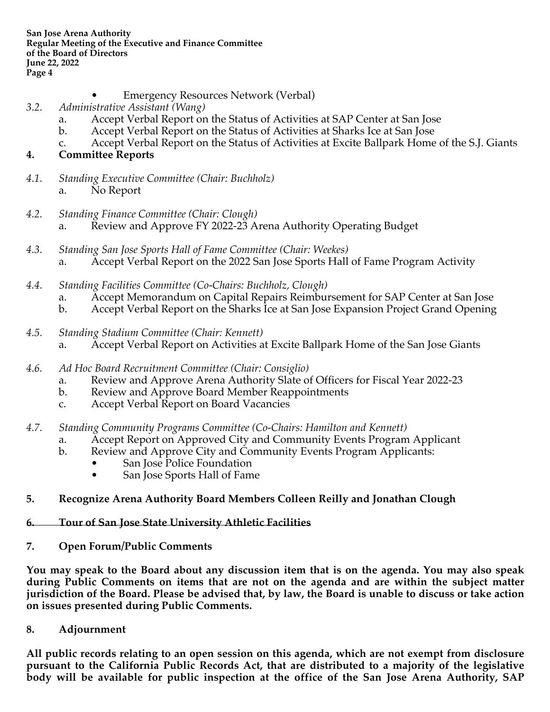**San Jose Arena Authority Regular Meeting of the Executive and Finance Committee of the Board of Directors June 22, 2022 Page 4**

- Emergency Resources Network (Verbal)
- *3.2. Administrative Assistant (Wang)* 
	- a. Accept Verbal Report on the Status of Activities at SAP Center at San Jose
	- b. Accept Verbal Report on the Status of Activities at Sharks Ice at San Jose
	- c. Accept Verbal Report on the Status of Activities at Excite Ballpark Home of the S.J. Giants

### **4. Committee Reports**

- *4.1. Standing Executive Committee (Chair: Buchholz)* a. No Report
- *4.2. Standing Finance Committee (Chair: Clough)* a. Review and Approve FY 2022-23 Arena Authority Operating Budget
- *4.3. Standing San Jose Sports Hall of Fame Committee (Chair: Weekes)*  a. Accept Verbal Report on the 2022 San Jose Sports Hall of Fame Program Activity
- *4.4. Standing Facilities Committee (Co-Chairs: Buchholz, Clough)* 
	- a. Accept Memorandum on Capital Repairs Reimbursement for SAP Center at San Jose
	- b. Accept Verbal Report on the Sharks Ice at San Jose Expansion Project Grand Opening
- *4.5. Standing Stadium Committee (Chair: Kennett)* a. Accept Verbal Report on Activities at Excite Ballpark Home of the San Jose Giants
- *4.6. Ad Hoc Board Recruitment Committee (Chair: Consiglio)*
	- a. Review and Approve Arena Authority Slate of Officers for Fiscal Year 2022-23
	- b. Review and Approve Board Member Reappointments
	- c. Accept Verbal Report on Board Vacancies
- *4.7. Standing Community Programs Committee (Co-Chairs: Hamilton and Kennett)*
	- a. Accept Report on Approved City and Community Events Program Applicant
	- b. Review and Approve City and Community Events Program Applicants:
		- San Jose Police Foundation
		- San Jose Sports Hall of Fame

## **5. Recognize Arena Authority Board Members Colleen Reilly and Jonathan Clough**

### **6. Tour of San Jose State University Athletic Facilities**

**7. Open Forum/Public Comments**

**You may speak to the Board about any discussion item that is on the agenda. You may also speak during Public Comments on items that are not on the agenda and are within the subject matter jurisdiction of the Board. Please be advised that, by law, the Board is unable to discuss or take action on issues presented during Public Comments.**

**8. Adjournment**

**All public records relating to an open session on this agenda, which are not exempt from disclosure pursuant to the California Public Records Act, that are distributed to a majority of the legislative body will be available for public inspection at the office of the San Jose Arena Authority, SAP**